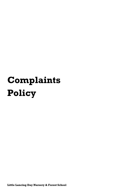# **Complaints Policy**

**Little Lancing Day Nursery & Forest School**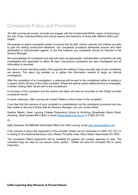# Complaints Policy and Procedure

*'At Little Lancing we accept, promote and engage with the fundamental British values of democracy, the rule of law, individual liberty and mutual respect and tolerance of those with different faiths and beliefs.'*

We operate an active complaints system to ensure that all staff, visitors, parents and children are able to give the setting constructive feedback. Our complaints procedure addresses anyone who feels dissatisfied or discriminated against. In the first instance any complaints should be directed to the Nursery Manager.

We acknowledge all complaints and deal with each as appropriate. Verbal/written complaints are fully investigated and responded to within 28 days. Anonymous complaints are also investigated and all information is recorded.

We have a formal reporting system that supports the setting to keep accurate logs of any complaints we receive. The report log enables us to gather the information needed to begin an internal investigation.

After the completion of an investigation, a response will be sent to the complainant either in writing or in person within 28 days of the initial complaint. Where the setting needs additional time to investigate, a further holding letter will be sent to the complainant.

A summary of the complaint and the actions are taken will also be recorded on the Ofsted provider complaints record.

In some instances, Little Lancing will contact Ofsted to inform them of the complaint.

If you feel that the outcome of your complaint is unsatisfactory via the complaints procedure and you feel unable to discuss it further with the Nursery Manager, you can contact either:

Heather Beeby, Head, Lancing College Preparatory School at Worthing, Broadwater Manor Road, Worthing, West Sussex BN14 8HU or email [hbeeby@lancing.org.uk](mailto:hbeeby@lancing.org.uk) or 01903 201123

Or

Sally Godward, BUXBRASS Nominated Officer for Little Lancing, email [sally.godward@nhs.net](mailto:sally.godward@nhs.net)

If the concern is about the registration of the provider Ofsted can be contacted on 0300 123 1231 or in writing to The National Business Unit, Ofsted, Piccadilly Gate, Store Street, Manchester M1 2WD.

The completed Ofsted paperwork will be available for parents and outside agencies to view. The complaint logs are kept on our secure online system. Ofsted will view the complaint file on every inspection.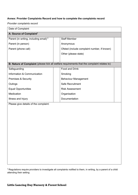# **Annex: Provider Complaints Record and how to complete the complaints record**

*Provider complaints record* 

| Date of Complaint                                 |  |                                                                                             |  |  |
|---------------------------------------------------|--|---------------------------------------------------------------------------------------------|--|--|
| A: Source of Complaint <sup>1</sup>               |  |                                                                                             |  |  |
| Parent (in writing, including email) <sup>1</sup> |  | <b>Staff Member</b>                                                                         |  |  |
| Parent (in person)                                |  | Anonymous                                                                                   |  |  |
| Parent (phone call)                               |  | Ofsted (include complaint number, if known)                                                 |  |  |
|                                                   |  | Other (please state)                                                                        |  |  |
|                                                   |  |                                                                                             |  |  |
|                                                   |  | B: Nature of Complaint (please tick all welfare requirements that the complaint relates to) |  |  |
| Safeguarding                                      |  | Food and Drink                                                                              |  |  |
| Information & Communication                       |  | Smoking                                                                                     |  |  |
| <b>Premises &amp; Security</b>                    |  | <b>Behaviour Management</b>                                                                 |  |  |
| Outings                                           |  | Safe Recruitment                                                                            |  |  |
| <b>Equal Opportunities</b>                        |  | <b>Risk Assessment</b>                                                                      |  |  |
| Medication                                        |  | Organisation                                                                                |  |  |
| Illness and Injury                                |  | Documentation                                                                               |  |  |
| Please give details of the complaint:             |  |                                                                                             |  |  |
|                                                   |  |                                                                                             |  |  |
|                                                   |  |                                                                                             |  |  |
|                                                   |  |                                                                                             |  |  |
|                                                   |  |                                                                                             |  |  |
|                                                   |  |                                                                                             |  |  |
|                                                   |  |                                                                                             |  |  |
|                                                   |  |                                                                                             |  |  |
|                                                   |  |                                                                                             |  |  |
|                                                   |  |                                                                                             |  |  |
|                                                   |  |                                                                                             |  |  |
|                                                   |  |                                                                                             |  |  |
|                                                   |  |                                                                                             |  |  |

 $1$ Regulations require providers to investigate all complaints notified to them, in writing, by a parent of a child attending their setting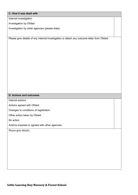# **C: How it was dealt with**

Internal investigation

Investigation by Ofsted

Investigation by other agencies (please state)

Please give details of any internal investigation or attach any outcome letter from Ofsted:

# **D: Actions and outcomes**

Internal actions

Actions agreed with Ofsted

Changes to conditions of registration

Other action taken by Ofsted

No action

Actions imposed or agreed with other agencies

Please give details: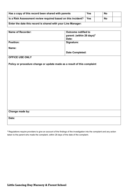| Has a copy of this record been shared with parents           | <b>Yes</b> | <b>No</b> |  |
|--------------------------------------------------------------|------------|-----------|--|
| Is a Risk Assessment review required based on this incident? | Yes        | No        |  |
| Enter the date this record is shared with your Line Manager: |            |           |  |

| <b>Name of Recorder:</b> | <b>Outcome notified to</b>            |
|--------------------------|---------------------------------------|
|                          | parent: (within 28 days) <sup>2</sup> |
|                          | Date:                                 |
| <b>Position:</b>         | Signature:                            |
| Name:                    |                                       |
|                          | <b>Date Completed:</b>                |

# **OFFICE USE ONLY**

**Policy or procedure change or update made as a result of this complaint**

# **Change made by:**

**Date:**

<sup>2</sup> Regulations require providers to give an account of the findings of the investigation into the complaint and any action taken to the parent who made the complaint, within 28 days of the date of the complaint.